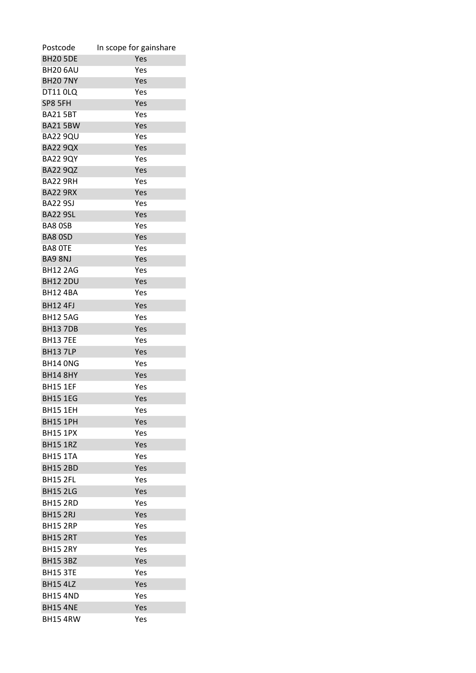| Postcode        | In scope for gainshare |
|-----------------|------------------------|
| <b>BH20 5DE</b> | Yes                    |
| <b>BH20 6AU</b> | Yes                    |
| <b>BH20 7NY</b> | Yes                    |
| <b>DT11 0LQ</b> | Yes                    |
| SP8 5FH         | Yes                    |
| <b>BA21 5BT</b> | Yes                    |
| <b>BA21 5BW</b> | Yes                    |
| <b>BA22 9QU</b> | Yes                    |
| <b>BA22 9QX</b> | Yes                    |
| <b>BA22 9QY</b> | Yes                    |
| <b>BA22 9QZ</b> | Yes                    |
| BA22 9RH        | Yes                    |
| <b>BA22 9RX</b> | Yes                    |
| <b>BA22 9SJ</b> | Yes                    |
| <b>BA22 9SL</b> | Yes                    |
| <b>BA8 OSB</b>  | Yes                    |
| <b>BA8 OSD</b>  | Yes                    |
| <b>BA8 OTE</b>  | Yes                    |
| BA9 8NJ         | Yes                    |
| <b>BH12 2AG</b> | Yes                    |
| <b>BH12 2DU</b> | Yes                    |
| <b>BH124BA</b>  | Yes                    |
| <b>BH12 4FJ</b> | Yes                    |
| <b>BH12 5AG</b> | Yes                    |
| <b>BH137DB</b>  | Yes                    |
| <b>BH13 7EE</b> | Yes                    |
| <b>BH13 7LP</b> | Yes                    |
| <b>BH14 ONG</b> | Yes                    |
| <b>BH14 8HY</b> | Yes                    |
| <b>BH15 1EF</b> | Yes                    |
| <b>BH15 1EG</b> | Yes                    |
| <b>BH15 1EH</b> | Yes                    |
| <b>BH15 1PH</b> | Yes                    |
| <b>BH15 1PX</b> | Yes                    |
| <b>BH15 1RZ</b> | Yes                    |
| <b>BH15 1TA</b> | Yes                    |
| <b>BH15 2BD</b> | Yes                    |
| <b>BH15 2FL</b> | Yes                    |
| <b>BH15 2LG</b> | Yes                    |
| <b>BH15 2RD</b> | Yes                    |
| <b>BH15 2RJ</b> | Yes                    |
| <b>BH15 2RP</b> | Yes                    |
| <b>BH15 2RT</b> | Yes                    |
| <b>BH15 2RY</b> | Yes                    |
| <b>BH15 3BZ</b> | Yes                    |
| <b>BH15 3TE</b> | Yes                    |
| <b>BH15 4LZ</b> | Yes                    |
| <b>BH154ND</b>  | Yes                    |
|                 |                        |
| <b>BH15 4NE</b> | Yes                    |
| <b>BH15 4RW</b> | Yes                    |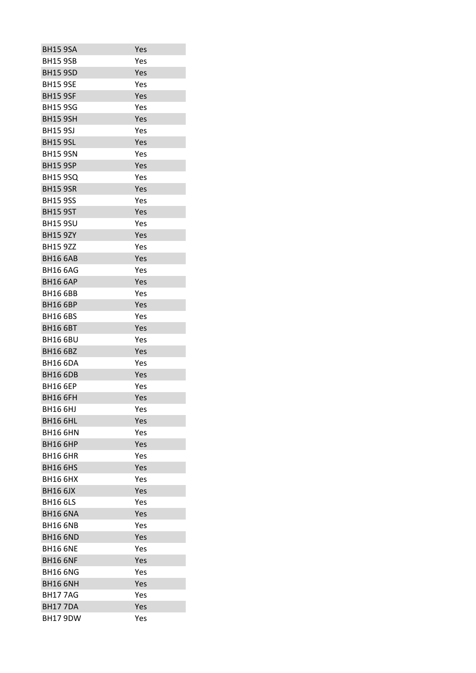| <b>BH15 9SA</b> | Yes |
|-----------------|-----|
| <b>BH15 9SB</b> | Yes |
| <b>BH15 9SD</b> | Yes |
| <b>BH15 9SE</b> | Yes |
| <b>BH15 9SF</b> | Yes |
| <b>BH15 9SG</b> | Yes |
| <b>BH15 9SH</b> | Yes |
| <b>BH15 9SJ</b> | Yes |
| <b>BH15 9SL</b> | Yes |
| <b>BH15 9SN</b> | Yes |
| <b>BH15 9SP</b> | Yes |
| <b>BH15 9SQ</b> | Yes |
| <b>BH15 9SR</b> | Yes |
| <b>BH15 9SS</b> | Yes |
| <b>BH15 9ST</b> | Yes |
| <b>BH15 9SU</b> | Yes |
| <b>BH15 9ZY</b> | Yes |
| <b>BH15 9ZZ</b> | Yes |
| <b>BH16 6AB</b> | Yes |
| <b>BH16 6AG</b> | Yes |
| <b>BH16 6AP</b> | Yes |
| <b>BH16 6BB</b> | Yes |
| <b>BH16 6BP</b> | Yes |
| <b>BH16 6BS</b> | Yes |
| <b>BH16 6BT</b> | Yes |
| <b>BH16 6BU</b> | Yes |
| <b>BH16 6BZ</b> | Yes |
| <b>BH16 6DA</b> | Yes |
| <b>BH16 6DB</b> | Yes |
| <b>BH16 6EP</b> | Yes |
| <b>BH16 6FH</b> | Yes |
| <b>BH16 6HJ</b> | Yes |
| <b>BH16 6HL</b> | Yes |
| <b>BH16 6HN</b> | Yes |
| <b>BH16 6HP</b> | Yes |
| <b>BH16 6HR</b> | Yes |
| <b>BH16 6HS</b> | Yes |
| <b>BH16 6HX</b> | Yes |
| <b>BH16 6JX</b> | Yes |
| <b>BH16 6LS</b> | Yes |
| <b>BH16 6NA</b> | Yes |
| <b>BH16 6NB</b> | Yes |
| <b>BH16 6ND</b> | Yes |
| <b>BH16 6NE</b> | Yes |
| <b>BH16 6NF</b> | Yes |
| <b>BH16 6NG</b> | Yes |
| <b>BH16 6NH</b> | Yes |
| <b>BH177AG</b>  | Yes |
| <b>BH177DA</b>  | Yes |
| <b>BH17 9DW</b> | Yes |
|                 |     |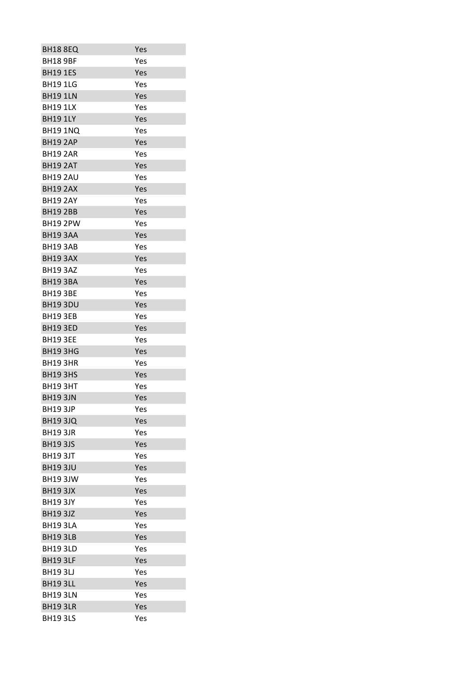| <b>BH18 8EQ</b> | Yes        |
|-----------------|------------|
| <b>BH18 9BF</b> | Yes        |
| <b>BH19 1ES</b> | Yes        |
| <b>BH191LG</b>  | Yes        |
| <b>BH19 1LN</b> | Yes        |
| <b>BH191LX</b>  | Yes        |
| <b>BH191LY</b>  | Yes        |
| <b>BH19 1NQ</b> | Yes        |
| <b>BH19 2AP</b> | Yes        |
| <b>BH19 2AR</b> | Yes        |
| <b>BH19 2AT</b> | Yes        |
| <b>BH19 2AU</b> | Yes        |
| <b>BH19 2AX</b> | Yes        |
| <b>BH19 2AY</b> | Yes        |
| <b>BH19 2BB</b> | Yes        |
| <b>BH19 2PW</b> | Yes        |
| BH193AA         | Yes        |
| <b>BH193AB</b>  | Yes        |
| BH193AX         | Yes        |
| <b>BH19 3AZ</b> | Yes        |
| <b>BH193BA</b>  | Yes        |
| <b>BH193BE</b>  | Yes        |
| <b>BH19 3DU</b> | Yes        |
| <b>BH19 3EB</b> | Yes        |
| <b>BH19 3ED</b> | Yes        |
| <b>BH19 3EE</b> | Yes        |
| <b>BH19 3HG</b> | Yes        |
| <b>BH193HR</b>  | Yes        |
| <b>BH193HS</b>  | Yes        |
| <b>BH193HT</b>  | Yes        |
| <b>BH19 3JN</b> | Yes        |
| <b>BH193JP</b>  | Yes        |
| <b>BH193JQ</b>  | Yes        |
|                 |            |
| <b>BH19 3JR</b> | Yes<br>Yes |
| <b>BH193JS</b>  |            |
| <b>BH19 3JT</b> | Yes        |
| <b>BH19 3JU</b> | Yes        |
| <b>BH19 3JW</b> | Yes        |
| <b>BH19 3JX</b> | Yes        |
| <b>BH193JY</b>  | Yes        |
| <b>BH19 3JZ</b> | Yes        |
| <b>BH193LA</b>  | Yes        |
| <b>BH19 3LB</b> | Yes        |
| <b>BH19 3LD</b> | Yes        |
| <b>BH19 3LF</b> | Yes        |
| <b>BH193LJ</b>  | Yes        |
| <b>BH19 3LL</b> | Yes        |
| <b>BH193LN</b>  | Yes        |
| <b>BH19 3LR</b> | Yes        |
| <b>BH19 3LS</b> | Yes        |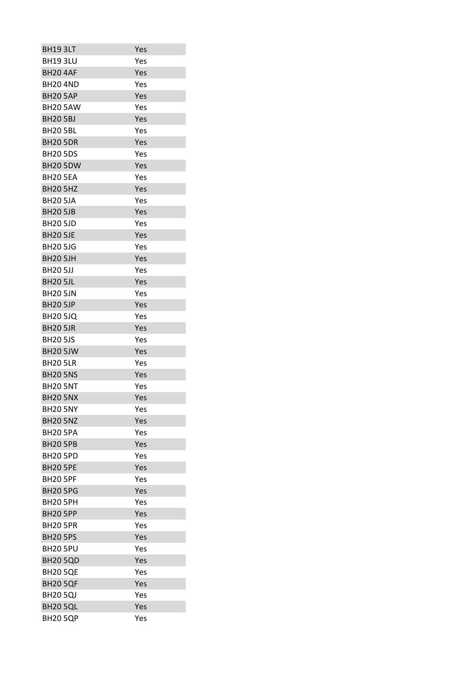| <b>BH19 3LT</b> | Yes |
|-----------------|-----|
| <b>BH193LU</b>  | Yes |
| <b>BH20 4AF</b> | Yes |
| <b>BH204ND</b>  | Yes |
| <b>BH20 5AP</b> | Yes |
| <b>BH20 5AW</b> | Yes |
| <b>BH20 5BJ</b> | Yes |
| <b>BH20 5BL</b> | Yes |
| <b>BH20 5DR</b> | Yes |
| <b>BH20 5DS</b> | Yes |
| <b>BH20 5DW</b> | Yes |
| <b>BH20 5EA</b> | Yes |
| <b>BH20 5HZ</b> | Yes |
| <b>BH20 5JA</b> | Yes |
| <b>BH20 5JB</b> | Yes |
| <b>BH20 5JD</b> | Yes |
| <b>BH20 5JE</b> | Yes |
| <b>BH20 5JG</b> | Yes |
| <b>BH20 5JH</b> | Yes |
| <b>BH20 5JJ</b> | Yes |
| <b>BH20 5JL</b> | Yes |
| <b>BH20 5JN</b> | Yes |
| <b>BH20 5JP</b> | Yes |
| <b>BH20 5JQ</b> | Yes |
| <b>BH20 5JR</b> | Yes |
| <b>BH20 5JS</b> | Yes |
| <b>BH20 5JW</b> | Yes |
| <b>BH20 5LR</b> | Yes |
| <b>BH20 5NS</b> | Yes |
| <b>BH20 5NT</b> | Yes |
| <b>BH20 5NX</b> | Yes |
| <b>BH20 5NY</b> | Yes |
| <b>BH20 5NZ</b> | Yes |
| <b>BH20 5PA</b> | Yes |
| <b>BH20 5PB</b> | Yes |
| <b>BH20 5PD</b> | Yes |
| <b>BH20 5PE</b> | Yes |
| <b>BH20 5PF</b> | Yes |
| <b>BH20 5PG</b> | Yes |
| <b>BH20 5PH</b> | Yes |
| <b>BH20 5PP</b> | Yes |
| <b>BH20 5PR</b> | Yes |
| <b>BH20 5PS</b> | Yes |
| <b>BH20 5PU</b> | Yes |
| <b>BH20 5QD</b> | Yes |
| <b>BH20 5QE</b> | Yes |
| <b>BH20 5QF</b> | Yes |
| <b>BH20 5QJ</b> | Yes |
| <b>BH20 5QL</b> | Yes |
| <b>BH20 5QP</b> | Yes |
|                 |     |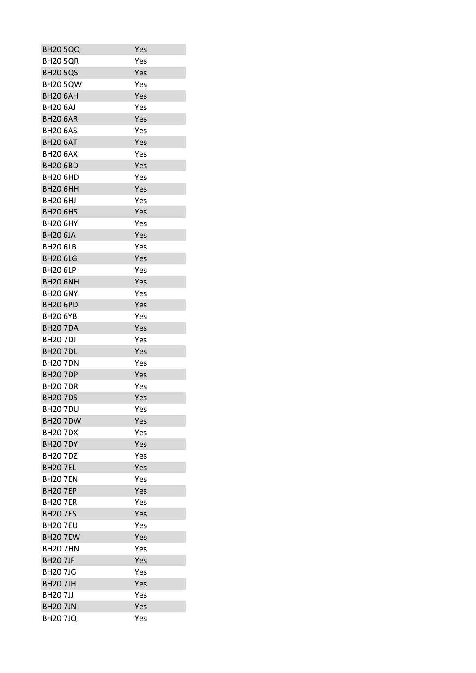| <b>BH20 5QQ</b> | Yes |
|-----------------|-----|
| <b>BH20 5QR</b> | Yes |
| <b>BH20 5QS</b> | Yes |
| <b>BH20 5QW</b> | Yes |
| <b>BH20 6AH</b> | Yes |
| <b>BH20 6AJ</b> | Yes |
| <b>BH20 6AR</b> | Yes |
| <b>BH20 6AS</b> | Yes |
| BH20 6AT        | Yes |
| <b>BH20 6AX</b> | Yes |
| <b>BH20 6BD</b> | Yes |
| <b>BH20 6HD</b> | Yes |
| <b>BH20 6HH</b> | Yes |
| <b>BH20 6HJ</b> | Yes |
| <b>BH20 6HS</b> | Yes |
| <b>BH20 6HY</b> | Yes |
| <b>BH20 6JA</b> | Yes |
| <b>BH20 6LB</b> | Yes |
| <b>BH20 6LG</b> | Yes |
| <b>BH20 6LP</b> | Yes |
| <b>BH20 6NH</b> | Yes |
| <b>BH20 6NY</b> | Yes |
| <b>BH20 6PD</b> | Yes |
| <b>BH20 6YB</b> | Yes |
| <b>BH207DA</b>  | Yes |
| <b>BH207DJ</b>  | Yes |
| <b>BH20 7DL</b> | Yes |
| <b>BH207DN</b>  | Yes |
| <b>BH207DP</b>  | Yes |
| <b>BH207DR</b>  | Yes |
| <b>BH207DS</b>  | Yes |
| <b>BH207DU</b>  | Yes |
| <b>BH207DW</b>  | Yes |
| <b>BH207DX</b>  | Yes |
| <b>BH20 7DY</b> | Yes |
| <b>BH207DZ</b>  | Yes |
| <b>BH207EL</b>  | Yes |
| <b>BH207EN</b>  | Yes |
| <b>BH207EP</b>  | Yes |
| <b>BH207ER</b>  | Yes |
| <b>BH207ES</b>  | Yes |
| <b>BH20 7EU</b> | Yes |
| <b>BH20 7EW</b> | Yes |
| <b>BH20 7HN</b> | Yes |
| <b>BH20 7JF</b> | Yes |
| <b>BH207JG</b>  | Yes |
| <b>BH207JH</b>  | Yes |
| <b>BH207JJ</b>  | Yes |
| <b>BH207JN</b>  | Yes |
| <b>BH207JQ</b>  | Yes |
|                 |     |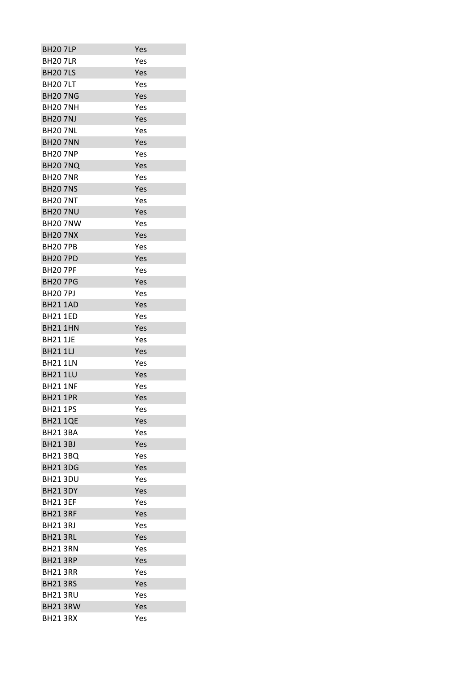| <b>BH207LP</b>  | Yes |
|-----------------|-----|
| <b>BH207LR</b>  | Yes |
| <b>BH207LS</b>  | Yes |
| <b>BH207LT</b>  | Yes |
| <b>BH20 7NG</b> | Yes |
| <b>BH20 7NH</b> | Yes |
| <b>BH20 7NJ</b> | Yes |
| <b>BH20 7NL</b> | Yes |
| <b>BH20 7NN</b> | Yes |
| <b>BH20 7NP</b> | Yes |
| <b>BH20 7NQ</b> | Yes |
| <b>BH20 7NR</b> | Yes |
| <b>BH20 7NS</b> | Yes |
| <b>BH20 7NT</b> | Yes |
| <b>BH20 7NU</b> | Yes |
| <b>BH20 7NW</b> | Yes |
| <b>BH20 7NX</b> | Yes |
| <b>BH207PB</b>  | Yes |
| <b>BH20 7PD</b> | Yes |
| <b>BH207PF</b>  | Yes |
| <b>BH207PG</b>  | Yes |
| <b>BH20 7PJ</b> | Yes |
| <b>BH21 1AD</b> | Yes |
| <b>BH21 1ED</b> | Yes |
| <b>BH21 1HN</b> | Yes |
| <b>BH21 1JE</b> | Yes |
| <b>BH21 1LJ</b> | Yes |
| <b>BH21 1LN</b> | Yes |
| <b>BH21 1LU</b> | Yes |
| <b>BH21 1NF</b> | Yes |
| <b>BH21 1PR</b> | Yes |
| <b>BH21 1PS</b> | Yes |
| <b>BH21 1QE</b> | Yes |
|                 |     |
| <b>BH21 3BA</b> | Yes |
| <b>BH21 3BJ</b> | Yes |
| <b>BH21 3BQ</b> | Yes |
| <b>BH21 3DG</b> | Yes |
| <b>BH21 3DU</b> | Yes |
| <b>BH21 3DY</b> | Yes |
| <b>BH21 3EF</b> | Yes |
| <b>BH21 3RF</b> | Yes |
| <b>BH213RJ</b>  | Yes |
| BH21 3RL        | Yes |
| <b>BH21 3RN</b> | Yes |
| <b>BH21 3RP</b> | Yes |
| <b>BH21 3RR</b> | Yes |
| <b>BH21 3RS</b> | Yes |
| BH213RU         | Yes |
| BH21 3RW        | Yes |
| BH213RX         | Yes |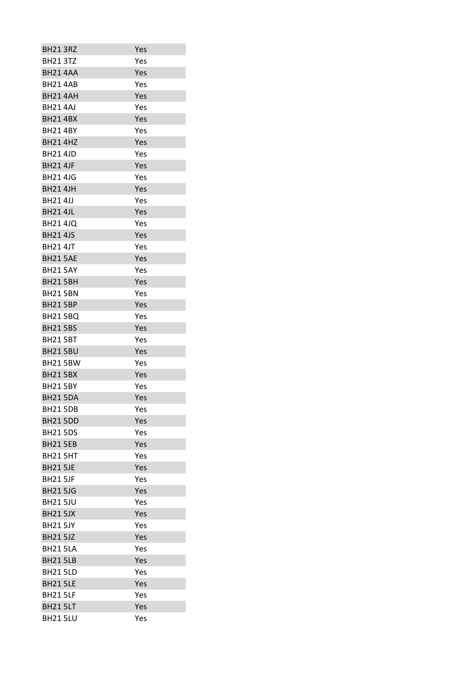| <b>BH21 3RZ</b> | Yes |
|-----------------|-----|
| <b>BH21 3TZ</b> | Yes |
| <b>BH21 4AA</b> | Yes |
| <b>BH214AB</b>  | Yes |
| <b>BH21 4AH</b> | Yes |
| <b>BH214AJ</b>  | Yes |
| <b>BH214BX</b>  | Yes |
| <b>BH21 4BY</b> | Yes |
| <b>BH21 4HZ</b> | Yes |
| <b>BH21 4JD</b> | Yes |
| <b>BH21 4JF</b> | Yes |
| <b>BH21 4JG</b> | Yes |
| <b>BH21 4JH</b> | Yes |
| <b>BH214JJ</b>  | Yes |
| <b>BH21 4JL</b> | Yes |
| <b>BH21 4JQ</b> | Yes |
| <b>BH21 4JS</b> | Yes |
| <b>BH21 4JT</b> | Yes |
| <b>BH21 5AE</b> | Yes |
| <b>BH21 5AY</b> | Yes |
| <b>BH21 5BH</b> | Yes |
| <b>BH21 5BN</b> | Yes |
| <b>BH21 5BP</b> | Yes |
| <b>BH21 5BQ</b> | Yes |
| <b>BH21 5BS</b> | Yes |
| <b>BH21 5BT</b> | Yes |
| <b>BH21 5BU</b> | Yes |
| <b>BH21 5BW</b> | Yes |
| <b>BH21 5BX</b> | Yes |
| <b>BH21 5BY</b> | Yes |
| <b>BH21 5DA</b> | Yes |
| <b>BH21 5DB</b> | Yes |
| <b>BH21 5DD</b> | Yes |
| <b>BH21 5DS</b> | Yes |
| <b>BH21 5EB</b> | Yes |
| <b>BH21 5HT</b> | Yes |
| <b>BH21 5JE</b> | Yes |
| <b>BH21 5JF</b> | Yes |
| <b>BH21 5JG</b> | Yes |
| <b>BH21 5JU</b> | Yes |
| <b>BH21 5JX</b> | Yes |
| <b>BH21 5JY</b> | Yes |
| <b>BH21 5JZ</b> | Yes |
| <b>BH21 5LA</b> | Yes |
| <b>BH21 5LB</b> | Yes |
| <b>BH21 5LD</b> | Yes |
| <b>BH21 5LE</b> | Yes |
| <b>BH21 5LF</b> | Yes |
| <b>BH21 5LT</b> | Yes |
| <b>BH21 5LU</b> | Yes |
|                 |     |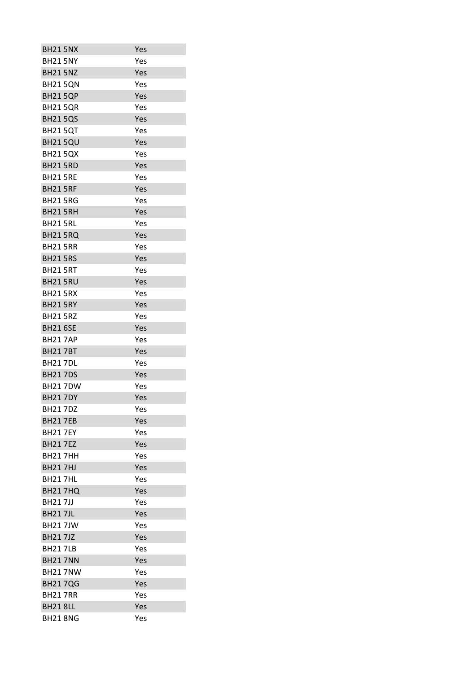| <b>BH21 5NX</b> | Yes |
|-----------------|-----|
| <b>BH21 5NY</b> | Yes |
| <b>BH21 5NZ</b> | Yes |
| <b>BH21 5QN</b> | Yes |
| <b>BH21 5QP</b> | Yes |
| <b>BH21 5QR</b> | Yes |
| <b>BH21 5QS</b> | Yes |
| <b>BH21 5QT</b> | Yes |
| <b>BH21 5QU</b> | Yes |
| <b>BH21 5QX</b> | Yes |
| <b>BH21 5RD</b> | Yes |
| <b>BH21 5RE</b> | Yes |
| <b>BH21 5RF</b> | Yes |
| <b>BH21 5RG</b> | Yes |
| BH21 5RH        | Yes |
| <b>BH21 5RL</b> | Yes |
| <b>BH21 5RQ</b> | Yes |
| <b>BH21 5RR</b> | Yes |
| <b>BH21 5RS</b> | Yes |
| <b>BH21 5RT</b> | Yes |
| <b>BH21 5RU</b> | Yes |
| <b>BH21 5RX</b> | Yes |
| <b>BH21 5RY</b> | Yes |
| <b>BH21 5RZ</b> | Yes |
| <b>BH21 6SE</b> | Yes |
| <b>BH217AP</b>  | Yes |
| <b>BH217BT</b>  | Yes |
| <b>BH217DL</b>  | Yes |
| <b>BH217DS</b>  | Yes |
| <b>BH217DW</b>  | Yes |
| <b>BH217DY</b>  | Yes |
| <b>BH217DZ</b>  | Yes |
| <b>BH217EB</b>  | Yes |
| <b>BH21 7FY</b> | Yes |
| <b>BH217EZ</b>  | Yes |
| <b>BH217HH</b>  | Yes |
| <b>BH217HJ</b>  | Yes |
| <b>BH217HL</b>  | Yes |
| <b>BH21 7HQ</b> | Yes |
| <b>BH217JJ</b>  | Yes |
| <b>BH217JL</b>  | Yes |
| <b>BH217JW</b>  | Yes |
| <b>BH217JZ</b>  | Yes |
| <b>BH217LB</b>  | Yes |
| <b>BH21 7NN</b> | Yes |
| <b>BH217NW</b>  |     |
|                 | Yes |
| <b>BH217QG</b>  | Yes |
| <b>BH217RR</b>  | Yes |
| <b>BH21 8LL</b> | Yes |
| <b>BH21 8NG</b> | Yes |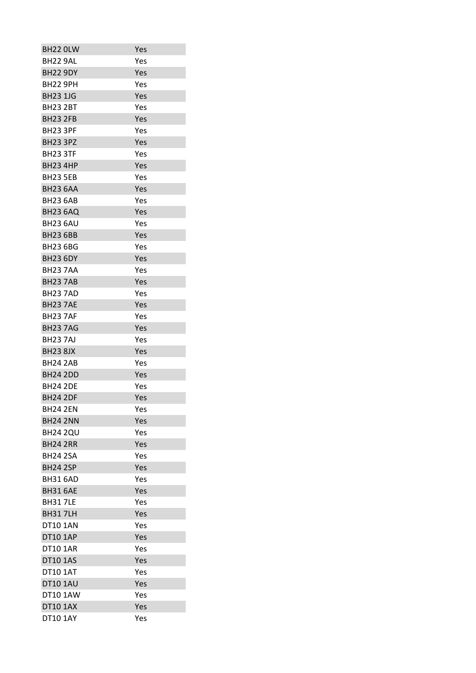| BH22 OLW        | Yes |
|-----------------|-----|
| BH22 9AL        | Yes |
| <b>BH22 9DY</b> | Yes |
| <b>BH22 9PH</b> | Yes |
| <b>BH23 1JG</b> | Yes |
| <b>BH23 2BT</b> | Yes |
| <b>BH23 2FB</b> | Yes |
| <b>BH23 3PF</b> | Yes |
| <b>BH23 3PZ</b> | Yes |
| <b>BH23 3TF</b> | Yes |
| <b>BH23 4HP</b> | Yes |
| <b>BH23 5EB</b> | Yes |
| <b>BH23 6AA</b> | Yes |
| <b>BH23 6AB</b> | Yes |
| <b>BH23 6AO</b> | Yes |
| <b>BH23 6AU</b> | Yes |
| <b>BH23 6BB</b> | Yes |
| <b>BH23 6BG</b> | Yes |
| <b>BH23 6DY</b> | Yes |
| <b>BH237AA</b>  | Yes |
| <b>BH237AB</b>  | Yes |
| <b>BH237AD</b>  | Yes |
| <b>BH23 7AE</b> | Yes |
| <b>BH237AF</b>  | Yes |
| <b>BH237AG</b>  | Yes |
| <b>BH237AJ</b>  | Yes |
| <b>BH23 8JX</b> | Yes |
| <b>BH24 2AB</b> | Yes |
| <b>BH24 2DD</b> | Yes |
| <b>BH24 2DE</b> | Yes |
| <b>BH24 2DF</b> | Yes |
| <b>BH24 2EN</b> | Yes |
| <b>BH24 2NN</b> | Yes |
| <b>BH24 2QU</b> | Yes |
| <b>BH24 2RR</b> | Yes |
| <b>BH24 2SA</b> | Yes |
| <b>BH24 2SP</b> | Yes |
| <b>BH31 6AD</b> | Yes |
| <b>BH31 6AE</b> | Yes |
| <b>BH317LE</b>  | Yes |
| <b>BH317LH</b>  | Yes |
| <b>DT10 1AN</b> | Yes |
| <b>DT10 1AP</b> | Yes |
| <b>DT10 1AR</b> | Yes |
| <b>DT10 1AS</b> | Yes |
| <b>DT10 1AT</b> | Yes |
| <b>DT10 1AU</b> | Yes |
| DT10 1AW        | Yes |
| <b>DT10 1AX</b> | Yes |
| DT10 1AY        | Yes |
|                 |     |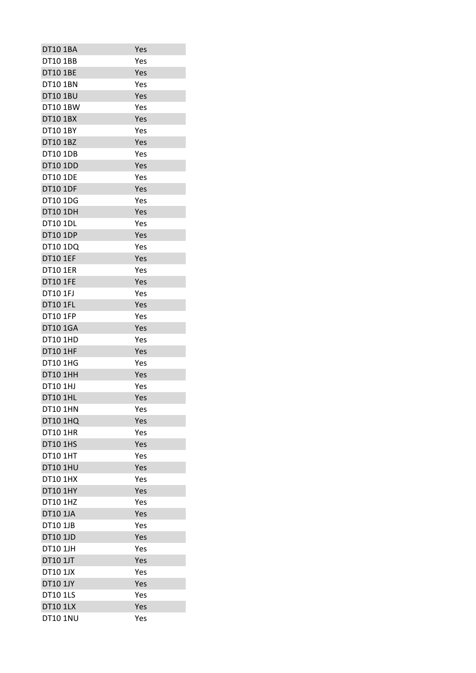| <b>DT10 1BA</b>                    | Yes |
|------------------------------------|-----|
| <b>DT10 1BB</b>                    | Yes |
| <b>DT10 1BE</b>                    | Yes |
| <b>DT10 1BN</b>                    | Yes |
| <b>DT10 1BU</b>                    | Yes |
| DT10 1BW                           | Yes |
| <b>DT10 1BX</b>                    | Yes |
| DT10 1BY                           | Yes |
| DT10 1BZ                           | Yes |
| <b>DT10 1DB</b>                    | Yes |
| <b>DT10 1DD</b>                    | Yes |
| <b>DT10 1DE</b>                    | Yes |
| <b>DT10 1DF</b>                    | Yes |
| DT10 1DG                           | Yes |
| <b>DT10 1DH</b>                    | Yes |
| <b>DT10 1DL</b>                    | Yes |
| <b>DT10 1DP</b>                    | Yes |
| DT10 1DQ                           | Yes |
| <b>DT10 1EF</b>                    | Yes |
| <b>DT10 1ER</b>                    | Yes |
| <b>DT10 1FE</b>                    | Yes |
| DT10 1FJ                           | Yes |
| <b>DT10 1FL</b>                    | Yes |
| DT10 1FP                           | Yes |
| <b>DT10 1GA</b>                    | Yes |
| DT10 1HD                           | Yes |
| <b>DT10 1HF</b>                    | Yes |
| <b>DT10 1HG</b>                    | Yes |
| DT10 1HH                           | Yes |
| DT10 1HJ                           | Yes |
| <b>DT10 1HL</b>                    | Yes |
| DT10 1HN                           | Yes |
| <b>DT10 1HQ</b>                    | Yes |
|                                    |     |
| <b>DT10 1HR</b><br><b>DT10 1HS</b> | Yes |
| <b>DT10 1HT</b>                    | Yes |
|                                    | Yes |
| <b>DT10 1HU</b>                    | Yes |
| <b>DT10 1HX</b>                    | Yes |
| DT10 1HY                           | Yes |
| DT10 1HZ                           | Yes |
| <b>DT10 1JA</b>                    | Yes |
| DT10 1JB                           | Yes |
| <b>DT10 1JD</b>                    | Yes |
| <b>DT10 1JH</b>                    | Yes |
| <b>DT10 1JT</b>                    | Yes |
| <b>DT10 1JX</b>                    | Yes |
| DT10 1JY                           | Yes |
| <b>DT10 1LS</b>                    | Yes |
| <b>DT10 1LX</b>                    | Yes |
| <b>DT10 1NU</b>                    | Yes |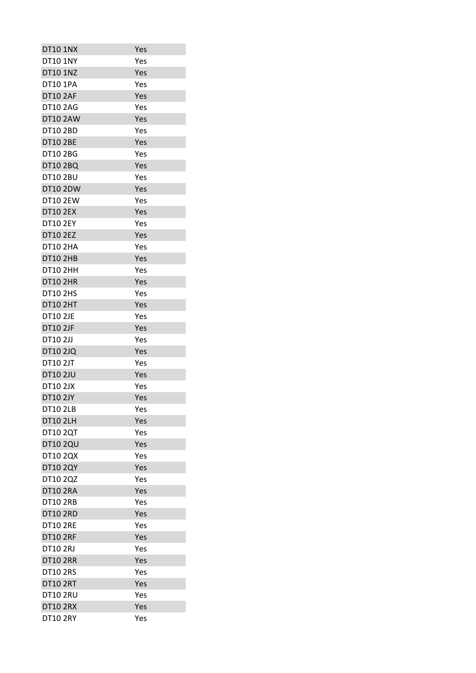| Yes |
|-----|
| Yes |
| Yes |
| Yes |
| Yes |
| Yes |
| Yes |
| Yes |
| Yes |
| Yes |
| Yes |
| Yes |
| Yes |
| Yes |
| Yes |
| Yes |
| Yes |
| Yes |
| Yes |
| Yes |
| Yes |
| Yes |
| Yes |
| Yes |
| Yes |
| Yes |
| Yes |
| Yes |
| Yes |
| Yes |
| Yes |
| Yes |
| Yes |
| Yes |
| Yes |
| Yes |
| Yes |
| Yes |
| Yes |
| Yes |
| Yes |
| Yes |
| Yes |
| Yes |
| Yes |
| Yes |
| Yes |
| Yes |
| Yes |
| Yes |
|     |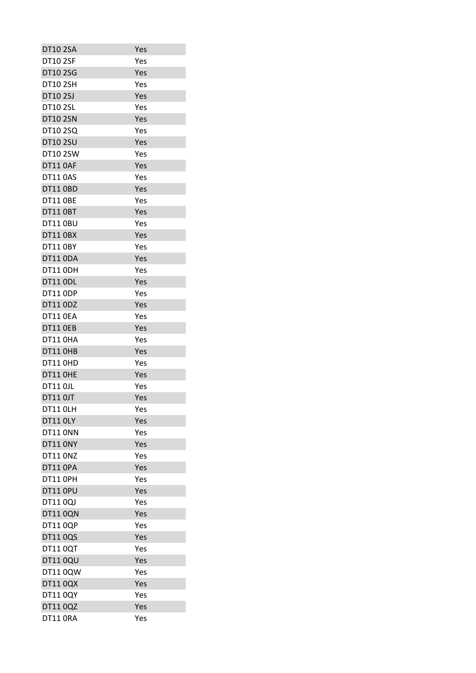| DT10 2SA        | Yes |
|-----------------|-----|
| <b>DT10 2SF</b> | Yes |
| <b>DT10 2SG</b> | Yes |
| <b>DT10 2SH</b> | Yes |
| DT10 2SJ        | Yes |
| <b>DT10 2SL</b> | Yes |
| <b>DT10 2SN</b> | Yes |
| <b>DT10 2SQ</b> | Yes |
| <b>DT10 2SU</b> | Yes |
| <b>DT10 2SW</b> | Yes |
| <b>DT11 0AF</b> | Yes |
| <b>DT11 0AS</b> | Yes |
| <b>DT11 OBD</b> | Yes |
| <b>DT11 OBE</b> | Yes |
| <b>DT11 OBT</b> | Yes |
| <b>DT11 0BU</b> | Yes |
| <b>DT11 0BX</b> | Yes |
| <b>DT11 0BY</b> | Yes |
| <b>DT11 0DA</b> | Yes |
| <b>DT11 ODH</b> | Yes |
| <b>DT11 ODL</b> | Yes |
| <b>DT11 ODP</b> | Yes |
| <b>DT11 0DZ</b> | Yes |
| <b>DT11 OEA</b> | Yes |
| <b>DT11 OEB</b> | Yes |
| <b>DT11 0HA</b> | Yes |
| DT11 OHB        | Yes |
| <b>DT11 0HD</b> | Yes |
| DT11 OHE        | Yes |
| <b>DT11 0JL</b> | Yes |
| <b>DT11 OJT</b> | Yes |
| <b>DT11 OLH</b> | Yes |
| <b>DT11 OLY</b> | Yes |
| DT11 ONN        | Yes |
| <b>DT11 ONY</b> | Yes |
| <b>DT11 ONZ</b> | Yes |
| <b>DT11 OPA</b> | Yes |
| DT11 OPH        | Yes |
| <b>DT11 OPU</b> | Yes |
| DT11 0QJ        | Yes |
| DT11 0QN        | Yes |
| DT110QP         | Yes |
| DT11 0QS        | Yes |
| DT110QT         | Yes |
| <b>DT11 0QU</b> | Yes |
| DT11 0QW        | Yes |
| DT11 0QX        | Yes |
| DT11 0QY        | Yes |
| DT11 0QZ        | Yes |
| DT11 ORA        | Yes |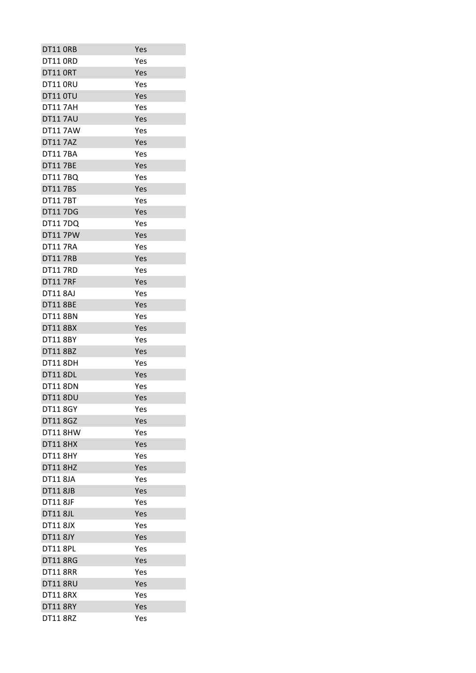| DT11 ORB        | Yes |
|-----------------|-----|
| <b>DT11 ORD</b> | Yes |
| DT11 ORT        | Yes |
| DT11 ORU        | Yes |
| DT11 0TU        | Yes |
| <b>DT117AH</b>  | Yes |
| <b>DT117AU</b>  | Yes |
| <b>DT117AW</b>  | Yes |
| <b>DT11 7AZ</b> | Yes |
| <b>DT117BA</b>  | Yes |
| <b>DT11 7BE</b> | Yes |
| DT11 7BQ        | Yes |
| <b>DT117BS</b>  | Yes |
| <b>DT117BT</b>  | Yes |
| <b>DT117DG</b>  | Yes |
| DT11 7DQ        | Yes |
| <b>DT11 7PW</b> | Yes |
| <b>DT11 7RA</b> | Yes |
| <b>DT11 7RB</b> | Yes |
| <b>DT11 7RD</b> | Yes |
| <b>DT11 7RF</b> | Yes |
| <b>DT11 8AJ</b> | Yes |
| <b>DT11 8BE</b> | Yes |
| <b>DT11 8BN</b> | Yes |
| <b>DT11 8BX</b> | Yes |
| <b>DT11 8BY</b> | Yes |
| <b>DT11 8BZ</b> | Yes |
| <b>DT11 8DH</b> | Yes |
| <b>DT11 8DL</b> | Yes |
| <b>DT11 8DN</b> | Yes |
| <b>DT11 8DU</b> | Yes |
| <b>DT11 8GY</b> | Yes |
| <b>DT11 8GZ</b> | Yes |
| <b>DT11 8HW</b> | Yes |
| <b>DT11 8HX</b> | Yes |
| <b>DT11 8HY</b> | Yes |
| <b>DT11 8HZ</b> | Yes |
| <b>DT11 8JA</b> | Yes |
| <b>DT11 8JB</b> | Yes |
| <b>DT11 8JF</b> | Yes |
| <b>DT11 8JL</b> | Yes |
| <b>DT11 8JX</b> | Yes |
| <b>DT11 8JY</b> | Yes |
| <b>DT11 8PL</b> | Yes |
| <b>DT11 8RG</b> | Yes |
| <b>DT11 8RR</b> | Yes |
| <b>DT11 8RU</b> | Yes |
| <b>DT11 8RX</b> | Yes |
| <b>DT11 8RY</b> | Yes |
| <b>DT11 8RZ</b> | Yes |
|                 |     |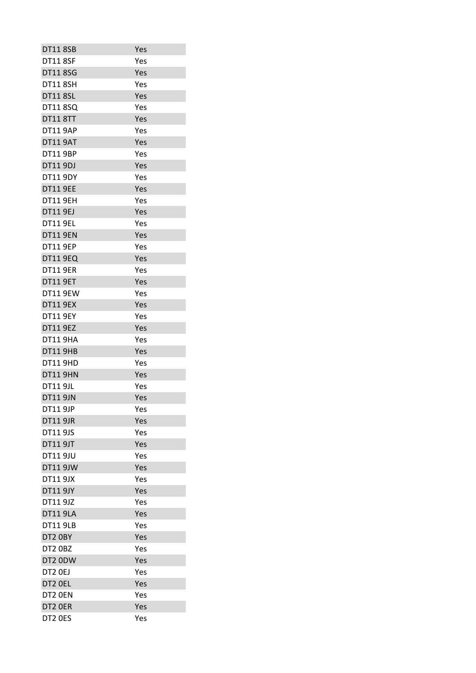| <b>DT11 8SB</b> | Yes |
|-----------------|-----|
| <b>DT11 8SF</b> | Yes |
| <b>DT11 8SG</b> | Yes |
| <b>DT11 8SH</b> | Yes |
| <b>DT11 8SL</b> | Yes |
| <b>DT11 8SQ</b> | Yes |
| <b>DT11 8TT</b> | Yes |
| <b>DT11 9AP</b> | Yes |
| <b>DT11 9AT</b> | Yes |
| <b>DT11 9BP</b> | Yes |
| DT11 9DJ        | Yes |
| <b>DT11 9DY</b> | Yes |
| <b>DT11 9EE</b> | Yes |
| <b>DT11 9EH</b> | Yes |
| <b>DT11 9EJ</b> | Yes |
| <b>DT11 9EL</b> | Yes |
| <b>DT11 9EN</b> | Yes |
| <b>DT11 9EP</b> | Yes |
| <b>DT11 9EQ</b> | Yes |
| <b>DT11 9ER</b> | Yes |
| <b>DT11 9ET</b> | Yes |
| <b>DT11 9EW</b> | Yes |
| <b>DT11 9EX</b> | Yes |
| <b>DT11 9EY</b> | Yes |
| <b>DT11 9EZ</b> | Yes |
| <b>DT11 9HA</b> | Yes |
| <b>DT11 9HB</b> | Yes |
| <b>DT11 9HD</b> | Yes |
| <b>DT11 9HN</b> | Yes |
| <b>DT11 9JL</b> | Yes |
| <b>DT11 9JN</b> | Yes |
| <b>DT11 9JP</b> | Yes |
| <b>DT11 9JR</b> | Yes |
| <b>DT11 9JS</b> |     |
| <b>DT11 9JT</b> | Yes |
| <b>DT11 9JU</b> | Yes |
|                 | Yes |
| <b>DT11 9JW</b> | Yes |
| <b>DT11 9JX</b> | Yes |
| DT11 9JY        | Yes |
| DT11 9JZ        | Yes |
| <b>DT11 9LA</b> | Yes |
| <b>DT11 9LB</b> | Yes |
| DT2 OBY         | Yes |
| DT2 0BZ         | Yes |
| DT2 0DW         | Yes |
| DT2 OEJ         | Yes |
| DT2 OEL         | Yes |
| DT2 OEN         | Yes |
| DT2 OER         | Yes |
| DT2 OES         | Yes |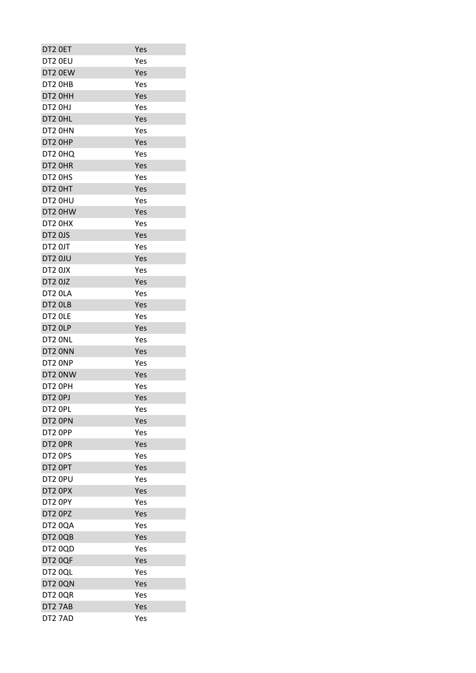| DT2 OET | Yes |
|---------|-----|
| DT2 0EU | Yes |
| DT2 0EW | Yes |
| DT2 OHB | Yes |
| DT2 OHH | Yes |
| DT2 OHJ | Yes |
| DT2 OHL | Yes |
| DT2 OHN | Yes |
| DT2 OHP | Yes |
| DT2 0HQ | Yes |
| DT2 OHR | Yes |
| DT2 OHS | Yes |
| DT2 OHT | Yes |
| DT2 0HU | Yes |
| DT2 0HW | Yes |
| DT2 0HX | Yes |
| DT2 0JS | Yes |
| DT2 OJT | Yes |
| DT2 0JU | Yes |
| DT2 0JX | Yes |
| DT2 0JZ | Yes |
| DT2 OLA | Yes |
| DT2 OLB |     |
|         | Yes |
| DT2 OLE | Yes |
| DT2 OLP | Yes |
| DT2 ONL | Yes |
| DT2 ONN | Yes |
| DT2 ONP | Yes |
| DT2 ONW | Yes |
| DT2 OPH | Yes |
| DT2 OPJ | Yes |
| DT2 OPL | Yes |
| DT2 OPN | Yes |
| DT2 OPP | Yes |
| DT2 OPR | Yes |
| DT2 OPS | Yes |
| DT2 OPT | Yes |
| DT2 OPU | Yes |
| DT2 OPX | Yes |
| DT2 OPY | Yes |
| DT2 OPZ | Yes |
| DT2 0QA | Yes |
| DT2 0QB | Yes |
| DT2 0QD | Yes |
| DT2 0QF | Yes |
| DT2 0QL | Yes |
| DT2 0QN | Yes |
| DT2 0QR | Yes |
| DT2 7AB | Yes |
| DT2 7AD | Yes |
|         |     |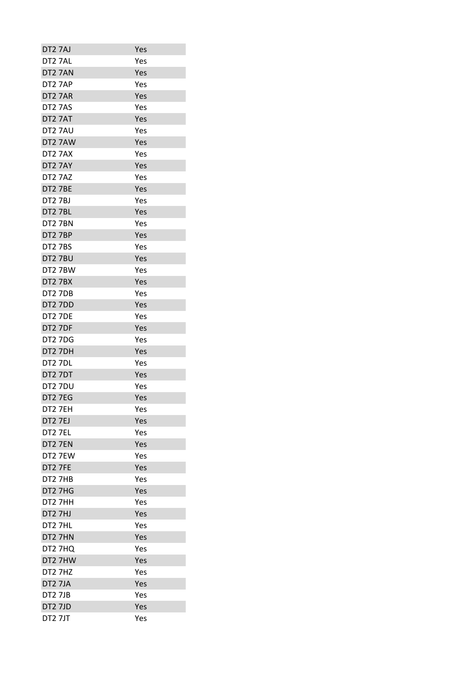| DT2 7AJ             | Yes |
|---------------------|-----|
| DT <sub>2</sub> 7AL | Yes |
| DT2 7AN             | Yes |
| DT27AP              | Yes |
| DT2 7AR             | Yes |
| DT <sub>2</sub> 7AS | Yes |
| DT2 7AT             | Yes |
| DT27AU              | Yes |
| DT2 7AW             | Yes |
| DT2 7AX             | Yes |
| DT2 7AY             | Yes |
| DT2 7AZ             | Yes |
| DT2 7BE             | Yes |
| <b>DT2 7BJ</b>      | Yes |
| DT2 7BL             | Yes |
| DT2 7BN             | Yes |
| DT2 7BP             | Yes |
| <b>DT2 7BS</b>      | Yes |
| DT2 7BU             | Yes |
| DT2 7BW             | Yes |
| DT2 7BX             | Yes |
| DT2 7DB             | Yes |
| DT2 7DD             | Yes |
| <b>DT2 7DE</b>      | Yes |
| DT2 7DF             | Yes |
| <b>DT2 7DG</b>      | Yes |
| DT2 7DH             | Yes |
| <b>DT2 7DL</b>      | Yes |
| DT2 7DT             | Yes |
| DT2 7DU             | Yes |
| <b>DT27EG</b>       | Yes |
| DT2 7EH             | Yes |
| <b>DT2 7EJ</b>      | Yes |
| DT2 7EL             | Yes |
| DT2 7EN             | Yes |
| DT2 7EW             | Yes |
| DT2 7FE             | Yes |
| DT2 7HB             | Yes |
| DT2 7HG             | Yes |
| DT2 7HH             | Yes |
| DT2 7HJ             | Yes |
| DT2 7HL             | Yes |
| DT2 7HN             | Yes |
| DT2 7HQ             | Yes |
| DT2 7HW             | Yes |
| DT2 7HZ             | Yes |
| DT2 7JA             | Yes |
| <b>DT2 7JB</b>      | Yes |
| DT2 7JD             | Yes |
| DT2 7JT             | Yes |
|                     |     |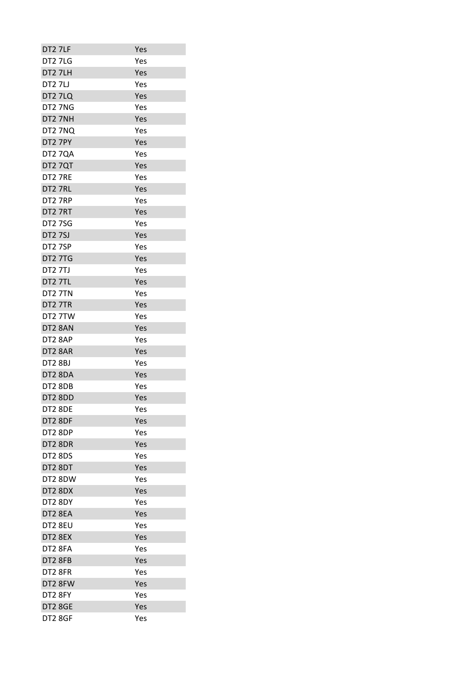| DT2 7LF        | Yes |
|----------------|-----|
| DT27LG         | Yes |
| DT2 7LH        | Yes |
| DT27LJ         | Yes |
| DT2 7LQ        | Yes |
| DT2 7NG        | Yes |
| DT2 7NH        | Yes |
| DT2 7NQ        | Yes |
| DT2 7PY        | Yes |
| DT2 7QA        | Yes |
| DT2 7QT        | Yes |
| DT2 7RE        | Yes |
| DT2 7RL        | Yes |
| DT2 7RP        | Yes |
| DT2 7RT        | Yes |
| <b>DT27SG</b>  | Yes |
| <b>DT2 7SJ</b> | Yes |
| DT2 7SP        | Yes |
| <b>DT2 7TG</b> | Yes |
| <b>DT2 7TJ</b> | Yes |
| DT2 7TL        | Yes |
| DT2 7TN        | Yes |
| DT2 7TR        | Yes |
| DT2 7TW        | Yes |
| DT2 8AN        | Yes |
| DT2 8AP        | Yes |
| DT2 8AR        | Yes |
| <b>DT2 8BJ</b> | Yes |
| DT2 8DA        | Yes |
| DT2 8DB        | Yes |
| DT2 8DD        | Yes |
| DT2 8DE        | Yes |
| DT2 8DF        | Yes |
| DT2 8DP        | Yes |
| DT2 8DR        | Yes |
| <b>DT2 8DS</b> | Yes |
| DT2 8DT        | Yes |
| DT2 8DW        | Yes |
| DT2 8DX        | Yes |
| DT2 8DY        | Yes |
| DT2 8EA        | Yes |
| DT2 8EU        | Yes |
| DT2 8EX        | Yes |
| DT2 8FA        | Yes |
| DT2 8FB        | Yes |
| DT2 8FR        | Yes |
| DT2 8FW        | Yes |
| DT2 8FY        | Yes |
| DT2 8GE        | Yes |
| DT2 8GF        | Yes |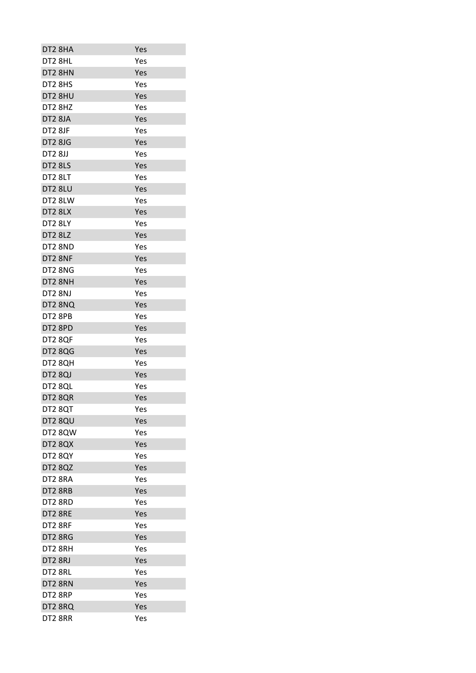| DT2 8HA        | Yes |
|----------------|-----|
| DT2 8HL        | Yes |
| DT2 8HN        | Yes |
| DT2 8HS        | Yes |
| DT2 8HU        | Yes |
| DT2 8HZ        | Yes |
| DT2 8JA        | Yes |
| <b>DT2 8JF</b> | Yes |
| <b>DT2 8JG</b> | Yes |
| <b>DT2 8JJ</b> | Yes |
| DT2 8LS        | Yes |
| DT2 8LT        | Yes |
| DT2 8LU        | Yes |
| DT2 8LW        | Yes |
| DT2 8LX        | Yes |
| DT2 8LY        | Yes |
| DT2 8LZ        | Yes |
| DT2 8ND        | Yes |
| DT2 8NF        | Yes |
| DT2 8NG        | Yes |
| DT2 8NH        | Yes |
| DT2 8NJ        | Yes |
| DT2 8NQ        | Yes |
| DT2 8PB        | Yes |
| DT2 8PD        | Yes |
| DT2 8QF        | Yes |
| <b>DT2 8QG</b> | Yes |
| DT2 8QH        | Yes |
| DT2 8QJ        | Yes |
| DT2 8QL        | Yes |
| DT2 8QR        | Yes |
| DT2 8QT        | Yes |
| DT2 8QU        | Yes |
| DT2 8QW        | Yes |
| DT2 8QX        | Yes |
| DT2 8QY        | Yes |
| <b>DT2 8QZ</b> | Yes |
| DT2 8RA        | Yes |
| DT2 8RB        | Yes |
| DT2 8RD        | Yes |
| DT2 8RE        | Yes |
| DT2 8RF        | Yes |
| DT2 8RG        | Yes |
| DT2 8RH        | Yes |
| DT2 8RJ        | Yes |
| DT2 8RL        | Yes |
| DT2 8RN        | Yes |
| DT2 8RP        | Yes |
|                |     |
| DT2 8RQ        | Yes |
| DT2 8RR        | Yes |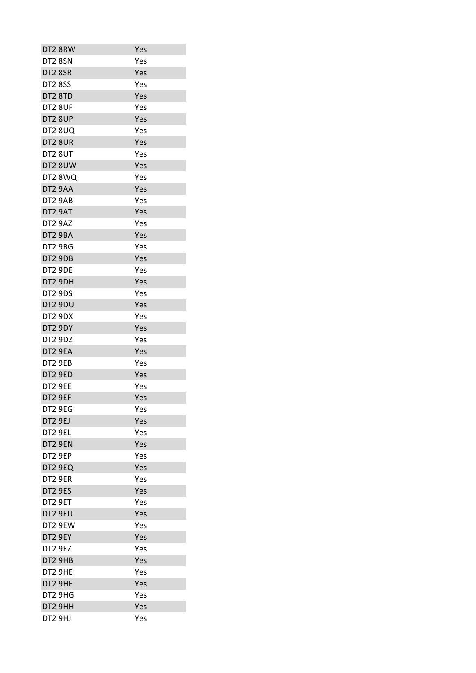| DT2 8RW        | Yes |
|----------------|-----|
| DT2 8SN        | Yes |
| DT2 8SR        | Yes |
| <b>DT2 8SS</b> | Yes |
| DT2 8TD        | Yes |
| DT2 8UF        | Yes |
| DT2 8UP        | Yes |
| <b>DT2 8UQ</b> | Yes |
| DT2 8UR        | Yes |
| DT2 8UT        | Yes |
| DT2 8UW        | Yes |
| DT2 8WQ        | Yes |
| DT2 9AA        | Yes |
| DT2 9AB        | Yes |
| DT2 9AT        | Yes |
|                | Yes |
| DT2 9AZ        |     |
| DT2 9BA        | Yes |
| DT2 9BG        | Yes |
| DT2 9DB        | Yes |
| DT2 9DE        | Yes |
| DT2 9DH        | Yes |
| DT2 9DS        | Yes |
| DT2 9DU        | Yes |
| DT2 9DX        | Yes |
| DT2 9DY        | Yes |
| DT2 9DZ        | Yes |
| DT2 9EA        | Yes |
| DT2 9EB        | Yes |
| DT2 9ED        | Yes |
| DT2 9EE        | Yes |
| DT2 9EF        | Yes |
| DT2 9EG        | Yes |
| DT2 9EJ        | Yes |
| DT2 9EL        | Yes |
| DT2 9EN        | Yes |
| DT2 9EP        | Yes |
| DT2 9EQ        | Yes |
| DT2 9ER        | Yes |
| DT2 9ES        | Yes |
| DT2 9ET        | Yes |
| DT2 9EU        | Yes |
| DT2 9EW        | Yes |
| DT2 9EY        | Yes |
| <b>DT2 9EZ</b> | Yes |
| DT2 9HB        | Yes |
| DT2 9HE        | Yes |
| DT2 9HF        | Yes |
| DT2 9HG        | Yes |
| DT2 9HH        | Yes |
| DT2 9HJ        | Yes |
|                |     |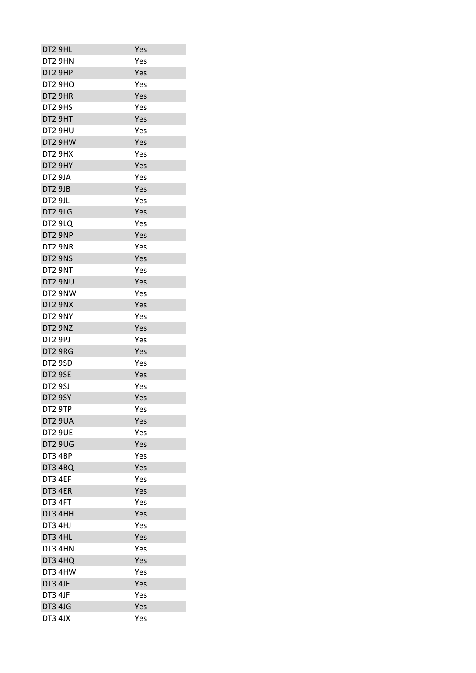| DT2 9HL        | Yes |
|----------------|-----|
| DT2 9HN        | Yes |
| DT2 9HP        | Yes |
| DT2 9HQ        | Yes |
| DT2 9HR        | Yes |
| DT2 9HS        | Yes |
| DT2 9HT        | Yes |
| DT2 9HU        | Yes |
| DT2 9HW        | Yes |
| DT2 9HX        | Yes |
| DT2 9HY        | Yes |
| DT2 9JA        | Yes |
| DT2 9JB        | Yes |
| DT2 9JL        | Yes |
| DT2 9LG        | Yes |
| DT2 9LQ        | Yes |
| DT2 9NP        | Yes |
| DT2 9NR        | Yes |
| DT2 9NS        | Yes |
| DT2 9NT        | Yes |
| DT2 9NU        | Yes |
| DT2 9NW        | Yes |
| DT2 9NX        | Yes |
| DT2 9NY        | Yes |
| DT2 9NZ        | Yes |
| DT2 9PJ        | Yes |
| DT2 9RG        | Yes |
| DT2 9SD        | Yes |
| DT2 9SE        | Yes |
| <b>DT2 9SJ</b> | Yes |
| DT2 9SY        | Yes |
| DT2 9TP        | Yes |
| DT2 9UA        | Yes |
| <b>DT2 9UE</b> | Yes |
| DT2 9UG        | Yes |
| DT3 4BP        | Yes |
| <b>DT3 4BQ</b> | Yes |
| DT3 4EF        | Yes |
| DT3 4ER        | Yes |
| DT3 4FT        | Yes |
| DT3 4HH        | Yes |
| DT3 4HJ        | Yes |
| DT3 4HL        | Yes |
| DT3 4HN        | Yes |
| DT3 4HQ        | Yes |
| DT3 4HW        | Yes |
| DT3 4JE        | Yes |
| DT3 4JF        | Yes |
| <b>DT3 4JG</b> | Yes |
| DT3 4JX        | Yes |
|                |     |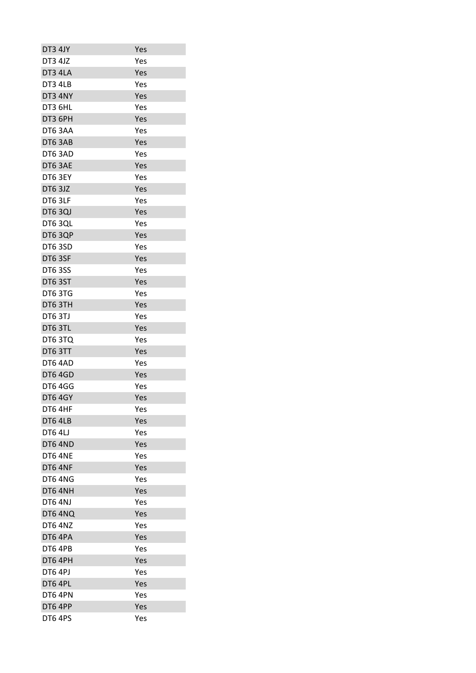| DT3 4JY        | Yes |
|----------------|-----|
| <b>DT3 4JZ</b> | Yes |
| DT3 4LA        | Yes |
| DT3 4LB        | Yes |
| DT3 4NY        | Yes |
| DT3 6HL        | Yes |
| DT3 6PH        | Yes |
| DT63AA         | Yes |
| DT6 3AB        | Yes |
| DT63AD         | Yes |
| DT6 3AE        | Yes |
| DT6 3EY        | Yes |
| DT6 3JZ        | Yes |
| DT6 3LF        | Yes |
| <b>DT6 3QJ</b> | Yes |
| DT6 3QL        | Yes |
| DT6 3QP        | Yes |
| DT63SD         | Yes |
| DT6 3SF        | Yes |
| <b>DT6 3SS</b> | Yes |
| DT6 3ST        | Yes |
| DT6 3TG        | Yes |
| DT6 3TH        | Yes |
| DT6 3TJ        | Yes |
| DT6 3TL        | Yes |
| DT63TQ         | Yes |
| DT6 3TT        | Yes |
| DT6 4AD        | Yes |
| DT6 4GD        | Yes |
| <b>DT6 4GG</b> | Yes |
| <b>DT6 4GY</b> | Yes |
| DT6 4HF        | Yes |
| DT6 4LB        | Yes |
| <b>DT6 4LJ</b> | Yes |
| DT6 4ND        | Yes |
| DT6 4NE        | Yes |
| DT6 4NF        | Yes |
| DT64NG         | Yes |
| DT64NH         | Yes |
| DT6 4NJ        | Yes |
| DT6 4NQ        | Yes |
| DT6 4NZ        | Yes |
| DT6 4PA        | Yes |
| DT6 4PB        | Yes |
| DT6 4PH        | Yes |
| DT6 4PJ        | Yes |
| DT6 4PL        | Yes |
| DT6 4PN        | Yes |
| DT6 4PP        | Yes |
| DT6 4PS        | Yes |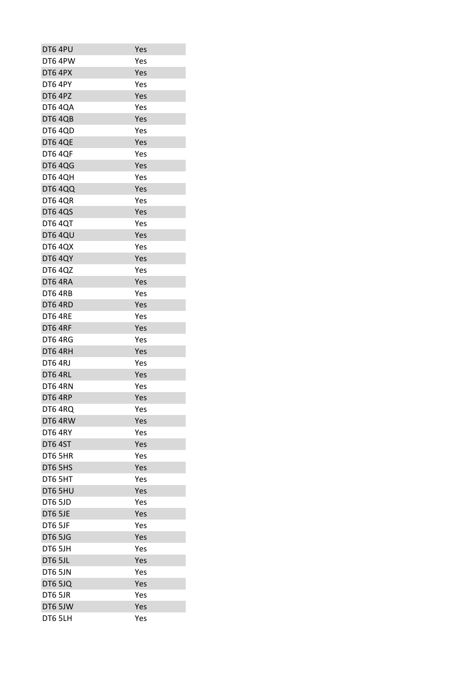| DT6 4PU        | Yes |
|----------------|-----|
| DT6 4PW        | Yes |
| DT6 4PX        | Yes |
| DT6 4PY        | Yes |
| DT6 4PZ        | Yes |
| <b>DT6 4QA</b> | Yes |
| <b>DT6 4QB</b> | Yes |
| <b>DT6 4QD</b> | Yes |
| DT6 4QE        | Yes |
| DT6 4QF        | Yes |
| <b>DT6 4QG</b> | Yes |
| <b>DT6 4QH</b> | Yes |
| <b>DT6 4QQ</b> | Yes |
| DT6 4QR        | Yes |
| <b>DT6 4QS</b> | Yes |
| DT64QT         | Yes |
| DT6 4QU        | Yes |
| <b>DT6 4QX</b> | Yes |
| <b>DT6 4QY</b> | Yes |
| <b>DT6 4QZ</b> | Yes |
| DT6 4RA        | Yes |
| DT6 4RB        | Yes |
| DT6 4RD        | Yes |
| DT6 4RE        | Yes |
| DT6 4RF        | Yes |
| DT6 4RG        | Yes |
| DT6 4RH        | Yes |
| DT6 4RJ        | Yes |
| DT6 4RL        | Yes |
| DT64RN         | Yes |
| DT6 4RP        | Yes |
| DT6 4RQ        | Yes |
| DT6 4RW        | Yes |
| DT64RY         | Yes |
| DT6 4ST        | Yes |
| DT6 5HR        | Yes |
| DT6 5HS        | Yes |
| DT6 5HT        | Yes |
| DT6 5HU        | Yes |
| DT6 5JD        | Yes |
| DT6 5JE        | Yes |
| DT6 5JF        |     |
|                | Yes |
| DT6 5JG        | Yes |
| DT6 5JH        | Yes |
| DT6 5JL        | Yes |
| DT6 5JN        | Yes |
| DT6 5JQ        | Yes |
| DT6 5JR        | Yes |
| DT6 5JW        | Yes |
| DT6 5LH        | Yes |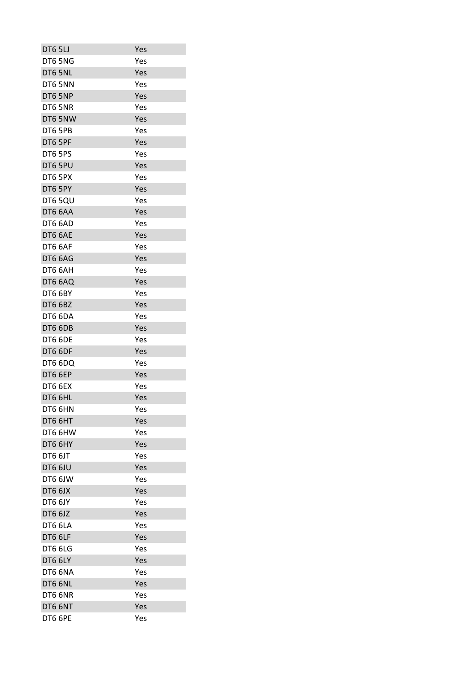| DT6 5LJ        | Yes |
|----------------|-----|
| DT6 5NG        | Yes |
| DT6 5NL        | Yes |
| DT6 5NN        | Yes |
| DT6 5NP        | Yes |
| DT6 5NR        | Yes |
| DT6 5NW        | Yes |
| DT6 5PB        | Yes |
| DT6 5PF        | Yes |
| DT6 5PS        | Yes |
| DT6 5PU        | Yes |
| DT6 5PX        | Yes |
| DT6 5PY        | Yes |
| DT6 5QU        | Yes |
| DT6 6AA        | Yes |
| DT6 6AD        | Yes |
| DT6 6AE        | Yes |
| DT6 6AF        | Yes |
| DT6 6AG        | Yes |
| DT6 6AH        | Yes |
| DT6 6AQ        | Yes |
| <b>DT6 6BY</b> | Yes |
| DT6 6BZ        | Yes |
| DT6 6DA        | Yes |
| DT6 6DB        | Yes |
| DT6 6DE        | Yes |
| DT6 6DF        | Yes |
| DT6 6DQ        | Yes |
| DT6 6EP        | Yes |
| DT6 6EX        | Yes |
| DT6 6HL        | Yes |
| DT6 6HN        | Yes |
| DT6 6HT        | Yes |
| DT6 6HW        | Yes |
| DT6 6HY        | Yes |
| DT6 6JT        | Yes |
| DT6 6JU        | Yes |
| DT6 6JW        | Yes |
| DT6 6JX        | Yes |
| DT6 6JY        | Yes |
| DT6 6JZ        | Yes |
| DT6 6LA        | Yes |
| DT6 6LF        | Yes |
| DT6 6LG        | Yes |
| DT6 6LY        | Yes |
| DT6 6NA        | Yes |
| DT6 6NL        | Yes |
| DT6 6NR        | Yes |
| DT6 6NT        | Yes |
| DT6 6PE        | Yes |
|                |     |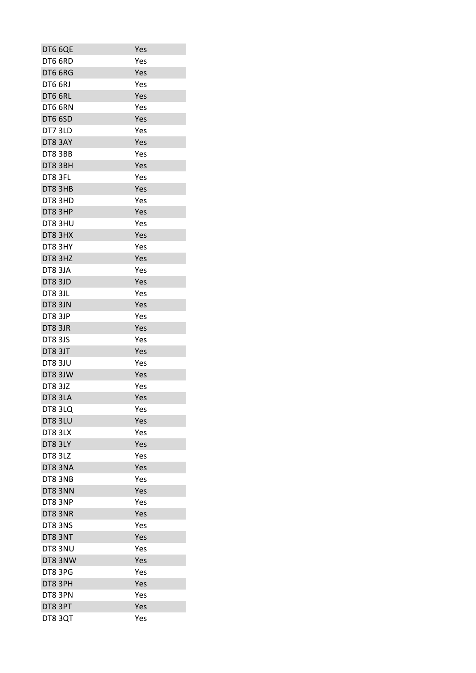| DT6 6QE        | Yes |
|----------------|-----|
| DT6 6RD        | Yes |
| DT6 6RG        | Yes |
| DT6 6RJ        | Yes |
| DT6 6RL        | Yes |
| DT6 6RN        | Yes |
| DT6 6SD        | Yes |
| DT7 3LD        | Yes |
| DT8 3AY        | Yes |
| <b>DT8 3BB</b> | Yes |
| DT8 3BH        | Yes |
| DT8 3FL        | Yes |
| DT8 3HB        | Yes |
| DT8 3HD        | Yes |
| DT8 3HP        | Yes |
| DT8 3HU        | Yes |
| DT8 3HX        | Yes |
| DT8 3HY        | Yes |
| DT8 3HZ        | Yes |
| DT83JA         | Yes |
| DT8 3JD        | Yes |
| DT8 3JL        | Yes |
| DT8 3JN        | Yes |
| DT8 3JP        | Yes |
| DT8 3JR        | Yes |
| DT83JS         | Yes |
| DT8 3JT        | Yes |
| DT83JU         | Yes |
| DT8 3JW        | Yes |
| <b>DT8 3JZ</b> | Yes |
| DT8 3LA        | Yes |
| DT83LQ         | Yes |
| DT8 3LU        | Yes |
| DT8 3LX        | Yes |
| DT83LY         | Yes |
| DT8 3LZ        | Yes |
| DT8 3NA        |     |
|                | Yes |
| DT8 3NB        | Yes |
| DT8 3NN        | Yes |
| DT8 3NP        | Yes |
| DT8 3NR        | Yes |
| DT8 3NS        | Yes |
| DT8 3NT        | Yes |
| DT8 3NU        | Yes |
| DT8 3NW        | Yes |
| DT8 3PG        | Yes |
| DT8 3PH        | Yes |
| DT8 3PN        | Yes |
| DT8 3PT        | Yes |
| DT83QT         | Yes |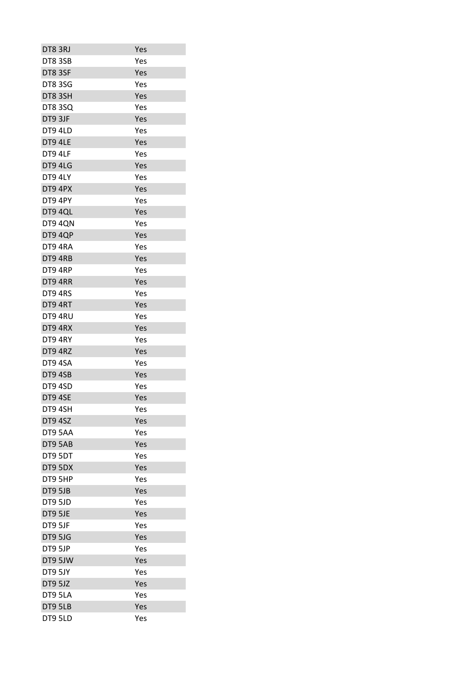| DT8 3RJ       | Yes |
|---------------|-----|
| DT8 3SB       | Yes |
| DT8 3SF       | Yes |
| <b>DT83SG</b> | Yes |
| DT8 3SH       | Yes |
|               |     |
| DT83SQ        | Yes |
| DT9 3JF       | Yes |
| DT9 4LD       | Yes |
| DT9 4LE       | Yes |
| DT9 4LF       | Yes |
| DT9 4LG       | Yes |
| DT9 4LY       | Yes |
| DT9 4PX       | Yes |
| DT9 4PY       | Yes |
| DT9 4QL       | Yes |
| DT9 4QN       | Yes |
| DT9 4QP       | Yes |
| DT9 4RA       | Yes |
| DT9 4RB       | Yes |
| DT9 4RP       | Yes |
| DT9 4RR       | Yes |
| DT9 4RS       | Yes |
| DT9 4RT       | Yes |
| DT9 4RU       | Yes |
| DT9 4RX       | Yes |
| DT9 4RY       | Yes |
| DT9 4RZ       | Yes |
| DT9 4SA       | Yes |
| DT9 4SB       | Yes |
| DT9 4SD       | Yes |
| DT9 4SE       | Yes |
| DT9 4SH       | Yes |
| DT9 4SZ       | Yes |
| DT9 5AA       | Yes |
| DT9 5AB       | Yes |
| DT9 5DT       | Yes |
| DT9 5DX       | Yes |
| DT9 5HP       | Yes |
| DT9 5JB       | Yes |
| DT9 5JD       | Yes |
| DT9 5JE       | Yes |
|               |     |
| DT9 5JF       | Yes |
| DT9 5JG       | Yes |
| DT9 5JP       | Yes |
| DT9 5JW       | Yes |
| DT9 5JY       | Yes |
| DT9 5JZ       | Yes |
| DT9 5LA       | Yes |
| DT9 5LB       | Yes |
| DT9 5LD       | Yes |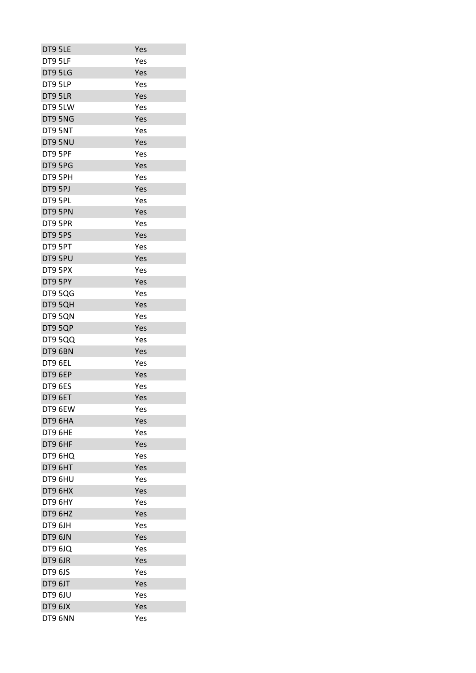| Yes |
|-----|
| Yes |
| Yes |
| Yes |
| Yes |
| Yes |
| Yes |
| Yes |
| Yes |
| Yes |
| Yes |
| Yes |
| Yes |
| Yes |
| Yes |
| Yes |
| Yes |
| Yes |
| Yes |
| Yes |
| Yes |
| Yes |
| Yes |
|     |
| Yes |
| Yes |
| Yes |
| Yes |
| Yes |
| Yes |
| Yes |
| Yes |
| Yes |
| Yes |
| Yes |
| Yes |
| Yes |
| Yes |
| Yes |
| Yes |
| Yes |
| Yes |
| Yes |
| Yes |
| Yes |
| Yes |
| Yes |
| Yes |
| Yes |
| Yes |
| Yes |
|     |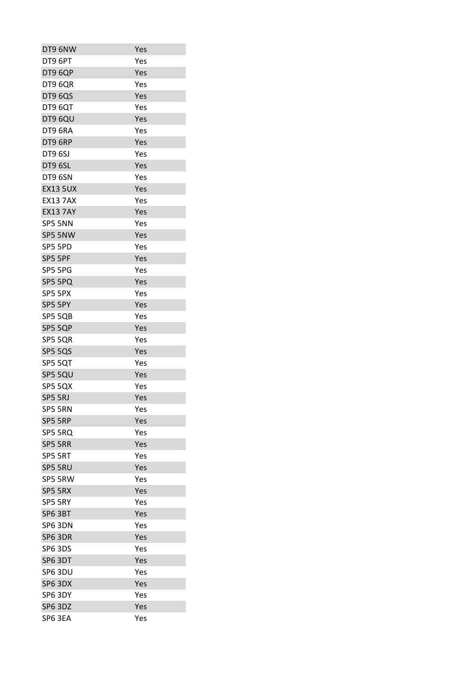| DT9 6NW         | Yes |
|-----------------|-----|
| DT9 6PT         | Yes |
| DT9 6QP         | Yes |
| DT9 6QR         | Yes |
| DT9 6QS         | Yes |
| DT9 6QT         | Yes |
| DT9 6QU         | Yes |
| DT9 6RA         | Yes |
| DT9 6RP         | Yes |
| <b>DT9 6SJ</b>  | Yes |
| DT9 6SL         | Yes |
| DT9 6SN         | Yes |
| <b>EX13 5UX</b> | Yes |
| <b>EX13 7AX</b> | Yes |
| <b>EX13 7AY</b> | Yes |
| SP5 5NN         | Yes |
| SP5 5NW         | Yes |
| SP5 5PD         | Yes |
| SP5 5PF         | Yes |
| SP5 5PG         | Yes |
| SP5 5PQ         | Yes |
| SP5 5PX         | Yes |
| SP5 5PY         | Yes |
| SP5 5QB         | Yes |
| SP5 5QP         | Yes |
| SP5 5QR         | Yes |
| SP5 5QS         | Yes |
| SP5 5QT         | Yes |
| SP5 5QU         | Yes |
| SP5 5QX         | Yes |
| SP5 5RJ         | Yes |
| SP5 5RN         | Yes |
| SP5 5RP         | Yes |
| SP5 5RQ         | Yes |
| SP5 5RR         | Yes |
| SP5 5RT         | Yes |
| SP5 5RU         | Yes |
| SP5 5RW         | Yes |
| SP5 5RX         | Yes |
| SP5 5RY         | Yes |
| SP6 3BT         | Yes |
| SP6 3DN         | Yes |
| SP6 3DR         | Yes |
| SP6 3DS         | Yes |
| SP6 3DT         | Yes |
| SP6 3DU         | Yes |
| SP6 3DX         | Yes |
| SP6 3DY         | Yes |
| SP6 3DZ         | Yes |
| SP6 3EA         | Yes |
|                 |     |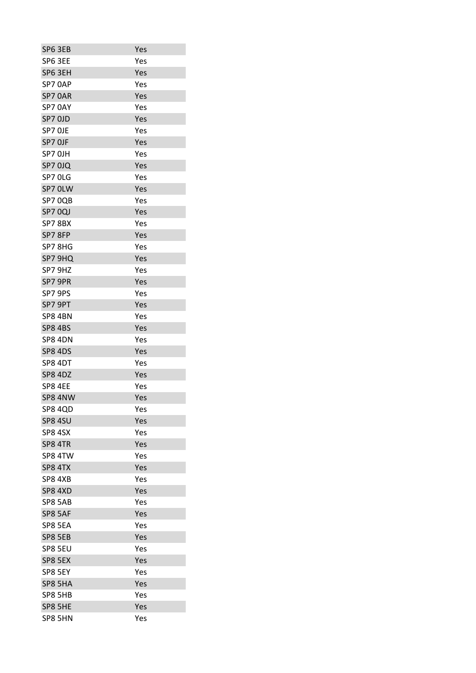| SP6 3EB        | Yes |
|----------------|-----|
| SP6 3EE        | Yes |
| SP6 3EH        | Yes |
| SP70AP         | Yes |
| SP7 OAR        | Yes |
| SP7 0AY        | Yes |
| SP7 OJD        | Yes |
| SP7 OJE        | Yes |
| SP7 OJF        | Yes |
| SP7 OJH        | Yes |
| SP7 0JQ        | Yes |
| SP7 OLG        | Yes |
| SP7 OLW        | Yes |
| SP7 OQB        | Yes |
| SP7 0QJ        | Yes |
| SP78BX         | Yes |
| SP7 8FP        | Yes |
| SP7 8HG        | Yes |
| SP7 9HQ        | Yes |
|                | Yes |
| SP7 9HZ        |     |
| SP7 9PR        | Yes |
| SP7 9PS        | Yes |
| SP7 9PT        | Yes |
| SP8 4BN        | Yes |
| <b>SP8 4BS</b> | Yes |
| SP8 4DN        | Yes |
| <b>SP8 4DS</b> | Yes |
| SP8 4DT        | Yes |
| <b>SP8 4DZ</b> | Yes |
| SP8 4EE        | Yes |
| SP8 4NW        | Yes |
| SP8 4QD        | Yes |
| <b>SP8 4SU</b> | Yes |
| SP8 4SX        | Yes |
| SP8 4TR        | Yes |
| SP8 4TW        | Yes |
| SP8 4TX        | Yes |
| SP8 4XB        | Yes |
| SP8 4XD        | Yes |
| SP8 5AB        | Yes |
| SP8 5AF        | Yes |
| SP8 5EA        | Yes |
| SP8 5EB        | Yes |
| SP8 5EU        | Yes |
| SP8 5EX        | Yes |
| SP8 5EY        | Yes |
| SP8 5HA        | Yes |
| SP8 5HB        | Yes |
| SP8 5HE        | Yes |
| SP8 5HN        | Yes |
|                |     |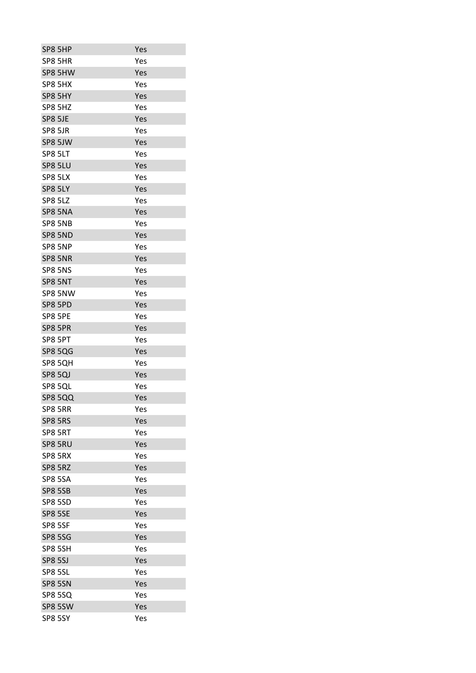| SP8 5HP        |                | Yes |
|----------------|----------------|-----|
| SP8 5HR        |                | Yes |
|                | SP8 5HW        | Yes |
| SP8 5HX        |                | Yes |
| SP8 5HY        |                | Yes |
| SP8 5HZ        |                | Yes |
| SP8 5JE        |                | Yes |
| SP8 5JR        |                | Yes |
|                | SP8 5JW        | Yes |
| SP8 5LT        |                | Yes |
| SP8 5LU        |                | Yes |
| SP8 5LX        |                | Yes |
| SP8 5LY        |                | Yes |
| <b>SP8 5LZ</b> |                | Yes |
|                | SP8 5NA        | Yes |
|                | SP8 5NB        | Yes |
|                | SP8 5ND        | Yes |
| SP8 5NP        |                | Yes |
|                | SP8 5NR        | Yes |
| SP8 5NS        |                | Yes |
| SP8 5NT        |                | Yes |
|                | SP8 5NW        | Yes |
| SP8 5PD        |                | Yes |
| SP8 5PE        |                | Yes |
| SP8 5PR        |                | Yes |
| SP8 5PT        |                | Yes |
|                | <b>SP8 5QG</b> | Yes |
|                | SP8 5QH        | Yes |
| <b>SP8 5QJ</b> |                | Yes |
| SP8 5QL        |                | Yes |
|                | <b>SP8 5QQ</b> | Yes |
| SP8 5RR        |                | Yes |
| SP8 5RS        |                | Yes |
| SP8 5RT        |                | Yes |
| SP8 5RU        |                | Yes |
| SP8 5RX        |                | Yes |
| SP8 5RZ        |                | Yes |
| <b>SP8 5SA</b> |                | Yes |
| <b>SP8 5SB</b> |                | Yes |
| SP8 5SD        |                | Yes |
| SP8 5SE        |                | Yes |
| SP8 5SF        |                | Yes |
| <b>SP8 5SG</b> |                | Yes |
| SP8 5SH        |                | Yes |
| <b>SP8 5SJ</b> |                | Yes |
| SP8 5SL        |                | Yes |
| <b>SP8 5SN</b> |                | Yes |
|                | SP8 5SQ        | Yes |
|                | SP8 5SW        | Yes |
| SP8 5SY        |                | Yes |
|                |                |     |